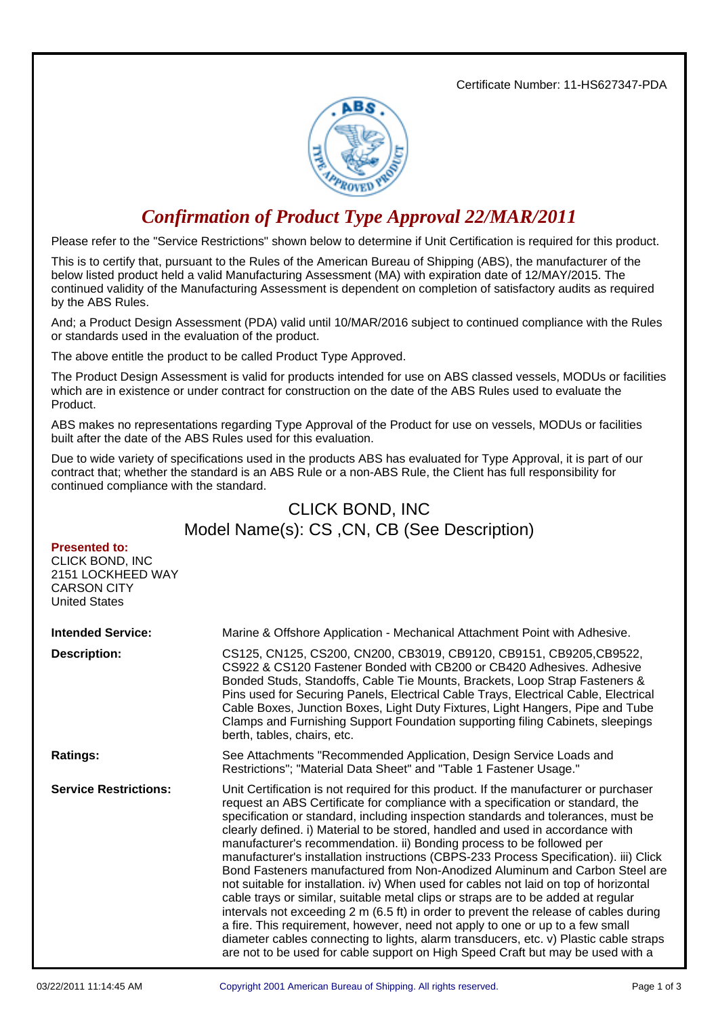Certificate Number: 11-HS627347-PDA



## *Confirmation of Product Type Approval 22/MAR/2011*

Please refer to the "Service Restrictions" shown below to determine if Unit Certification is required for this product.

This is to certify that, pursuant to the Rules of the American Bureau of Shipping (ABS), the manufacturer of the below listed product held a valid Manufacturing Assessment (MA) with expiration date of 12/MAY/2015. The continued validity of the Manufacturing Assessment is dependent on completion of satisfactory audits as required by the ABS Rules.

And; a Product Design Assessment (PDA) valid until 10/MAR/2016 subject to continued compliance with the Rules or standards used in the evaluation of the product.

The above entitle the product to be called Product Type Approved.

The Product Design Assessment is valid for products intended for use on ABS classed vessels, MODUs or facilities which are in existence or under contract for construction on the date of the ABS Rules used to evaluate the Product.

ABS makes no representations regarding Type Approval of the Product for use on vessels, MODUs or facilities built after the date of the ABS Rules used for this evaluation.

Due to wide variety of specifications used in the products ABS has evaluated for Type Approval, it is part of our contract that; whether the standard is an ABS Rule or a non-ABS Rule, the Client has full responsibility for continued compliance with the standard.

## CLICK BOND, INC Model Name(s): CS ,CN, CB (See Description)

## **Presented to:**

| CLICK BOND, INC<br>2151 LOCKHEED WAY<br><b>CARSON CITY</b><br><b>United States</b> |                                                                                                                                                                                                                                                                                                                                                                                                                                                                                                                                                                                                                                                                                                                                                                                                                                                                                                                                                                                                                                                                                                                                      |  |
|------------------------------------------------------------------------------------|--------------------------------------------------------------------------------------------------------------------------------------------------------------------------------------------------------------------------------------------------------------------------------------------------------------------------------------------------------------------------------------------------------------------------------------------------------------------------------------------------------------------------------------------------------------------------------------------------------------------------------------------------------------------------------------------------------------------------------------------------------------------------------------------------------------------------------------------------------------------------------------------------------------------------------------------------------------------------------------------------------------------------------------------------------------------------------------------------------------------------------------|--|
| <b>Intended Service:</b>                                                           | Marine & Offshore Application - Mechanical Attachment Point with Adhesive.                                                                                                                                                                                                                                                                                                                                                                                                                                                                                                                                                                                                                                                                                                                                                                                                                                                                                                                                                                                                                                                           |  |
| <b>Description:</b>                                                                | CS125, CN125, CS200, CN200, CB3019, CB9120, CB9151, CB9205, CB9522,<br>CS922 & CS120 Fastener Bonded with CB200 or CB420 Adhesives. Adhesive<br>Bonded Studs, Standoffs, Cable Tie Mounts, Brackets, Loop Strap Fasteners &<br>Pins used for Securing Panels, Electrical Cable Trays, Electrical Cable, Electrical<br>Cable Boxes, Junction Boxes, Light Duty Fixtures, Light Hangers, Pipe and Tube<br>Clamps and Furnishing Support Foundation supporting filing Cabinets, sleepings<br>berth, tables, chairs, etc.                                                                                                                                                                                                                                                                                                                                                                                                                                                                                                                                                                                                                |  |
| <b>Ratings:</b>                                                                    | See Attachments "Recommended Application, Design Service Loads and<br>Restrictions"; "Material Data Sheet" and "Table 1 Fastener Usage."                                                                                                                                                                                                                                                                                                                                                                                                                                                                                                                                                                                                                                                                                                                                                                                                                                                                                                                                                                                             |  |
| <b>Service Restrictions:</b>                                                       | Unit Certification is not required for this product. If the manufacturer or purchaser<br>request an ABS Certificate for compliance with a specification or standard, the<br>specification or standard, including inspection standards and tolerances, must be<br>clearly defined. i) Material to be stored, handled and used in accordance with<br>manufacturer's recommendation. ii) Bonding process to be followed per<br>manufacturer's installation instructions (CBPS-233 Process Specification). iii) Click<br>Bond Fasteners manufactured from Non-Anodized Aluminum and Carbon Steel are<br>not suitable for installation. iv) When used for cables not laid on top of horizontal<br>cable trays or similar, suitable metal clips or straps are to be added at regular<br>intervals not exceeding 2 m (6.5 ft) in order to prevent the release of cables during<br>a fire. This requirement, however, need not apply to one or up to a few small<br>diameter cables connecting to lights, alarm transducers, etc. v) Plastic cable straps<br>are not to be used for cable support on High Speed Craft but may be used with a |  |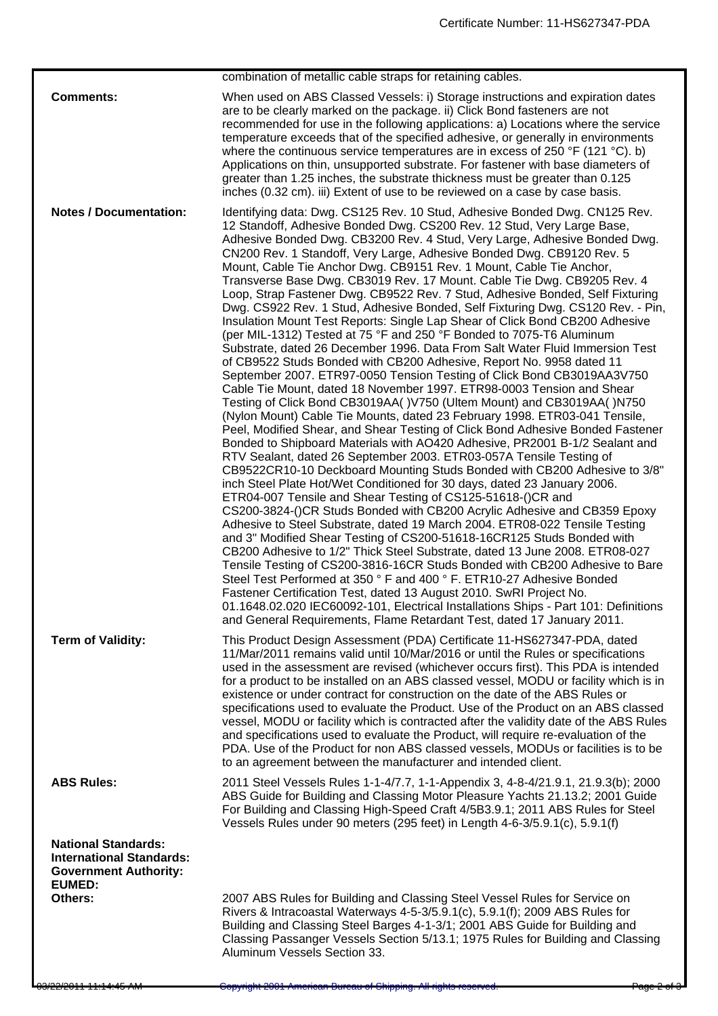|                                                                                                                | combination of metallic cable straps for retaining cables.                                                                                                                                                                                                                                                                                                                                                                                                                                                                                                                                                                                                                                                                                                                                                                                                                                                                                                                                                                                                                                                                                                                                                                                                                                                                                                                                                                                                                                                                                                                                                                                                                                                                                                                                                                                                                                                                                                                                                                                                                                                                                                                                                                                                                                                                                                      |  |
|----------------------------------------------------------------------------------------------------------------|-----------------------------------------------------------------------------------------------------------------------------------------------------------------------------------------------------------------------------------------------------------------------------------------------------------------------------------------------------------------------------------------------------------------------------------------------------------------------------------------------------------------------------------------------------------------------------------------------------------------------------------------------------------------------------------------------------------------------------------------------------------------------------------------------------------------------------------------------------------------------------------------------------------------------------------------------------------------------------------------------------------------------------------------------------------------------------------------------------------------------------------------------------------------------------------------------------------------------------------------------------------------------------------------------------------------------------------------------------------------------------------------------------------------------------------------------------------------------------------------------------------------------------------------------------------------------------------------------------------------------------------------------------------------------------------------------------------------------------------------------------------------------------------------------------------------------------------------------------------------------------------------------------------------------------------------------------------------------------------------------------------------------------------------------------------------------------------------------------------------------------------------------------------------------------------------------------------------------------------------------------------------------------------------------------------------------------------------------------------------|--|
| <b>Comments:</b><br><b>Notes / Documentation:</b>                                                              | When used on ABS Classed Vessels: i) Storage instructions and expiration dates<br>are to be clearly marked on the package. ii) Click Bond fasteners are not<br>recommended for use in the following applications: a) Locations where the service<br>temperature exceeds that of the specified adhesive, or generally in environments<br>where the continuous service temperatures are in excess of 250 $\degree$ F (121 $\degree$ C). b)<br>Applications on thin, unsupported substrate. For fastener with base diameters of<br>greater than 1.25 inches, the substrate thickness must be greater than 0.125<br>inches (0.32 cm). iii) Extent of use to be reviewed on a case by case basis.<br>Identifying data: Dwg. CS125 Rev. 10 Stud, Adhesive Bonded Dwg. CN125 Rev.                                                                                                                                                                                                                                                                                                                                                                                                                                                                                                                                                                                                                                                                                                                                                                                                                                                                                                                                                                                                                                                                                                                                                                                                                                                                                                                                                                                                                                                                                                                                                                                      |  |
|                                                                                                                | 12 Standoff, Adhesive Bonded Dwg. CS200 Rev. 12 Stud, Very Large Base,<br>Adhesive Bonded Dwg. CB3200 Rev. 4 Stud, Very Large, Adhesive Bonded Dwg.<br>CN200 Rev. 1 Standoff, Very Large, Adhesive Bonded Dwg. CB9120 Rev. 5<br>Mount, Cable Tie Anchor Dwg. CB9151 Rev. 1 Mount, Cable Tie Anchor,<br>Transverse Base Dwg. CB3019 Rev. 17 Mount. Cable Tie Dwg. CB9205 Rev. 4<br>Loop, Strap Fastener Dwg. CB9522 Rev. 7 Stud, Adhesive Bonded, Self Fixturing<br>Dwg. CS922 Rev. 1 Stud, Adhesive Bonded, Self Fixturing Dwg. CS120 Rev. - Pin,<br>Insulation Mount Test Reports: Single Lap Shear of Click Bond CB200 Adhesive<br>(per MIL-1312) Tested at 75 °F and 250 °F Bonded to 7075-T6 Aluminum<br>Substrate, dated 26 December 1996. Data From Salt Water Fluid Immersion Test<br>of CB9522 Studs Bonded with CB200 Adhesive, Report No. 9958 dated 11<br>September 2007. ETR97-0050 Tension Testing of Click Bond CB3019AA3V750<br>Cable Tie Mount, dated 18 November 1997. ETR98-0003 Tension and Shear<br>Testing of Click Bond CB3019AA()V750 (Ultem Mount) and CB3019AA()N750<br>(Nylon Mount) Cable Tie Mounts, dated 23 February 1998. ETR03-041 Tensile,<br>Peel, Modified Shear, and Shear Testing of Click Bond Adhesive Bonded Fastener<br>Bonded to Shipboard Materials with AO420 Adhesive, PR2001 B-1/2 Sealant and<br>RTV Sealant, dated 26 September 2003. ETR03-057A Tensile Testing of<br>CB9522CR10-10 Deckboard Mounting Studs Bonded with CB200 Adhesive to 3/8"<br>inch Steel Plate Hot/Wet Conditioned for 30 days, dated 23 January 2006.<br>ETR04-007 Tensile and Shear Testing of CS125-51618-()CR and<br>CS200-3824-()CR Studs Bonded with CB200 Acrylic Adhesive and CB359 Epoxy<br>Adhesive to Steel Substrate, dated 19 March 2004. ETR08-022 Tensile Testing<br>and 3" Modified Shear Testing of CS200-51618-16CR125 Studs Bonded with<br>CB200 Adhesive to 1/2" Thick Steel Substrate, dated 13 June 2008. ETR08-027<br>Tensile Testing of CS200-3816-16CR Studs Bonded with CB200 Adhesive to Bare<br>Steel Test Performed at 350 ° F and 400 ° F. ETR10-27 Adhesive Bonded<br>Fastener Certification Test, dated 13 August 2010. SwRI Project No.<br>01.1648.02.020 IEC60092-101, Electrical Installations Ships - Part 101: Definitions<br>and General Requirements, Flame Retardant Test, dated 17 January 2011. |  |
| <b>Term of Validity:</b>                                                                                       | This Product Design Assessment (PDA) Certificate 11-HS627347-PDA, dated<br>11/Mar/2011 remains valid until 10/Mar/2016 or until the Rules or specifications<br>used in the assessment are revised (whichever occurs first). This PDA is intended<br>for a product to be installed on an ABS classed vessel, MODU or facility which is in<br>existence or under contract for construction on the date of the ABS Rules or<br>specifications used to evaluate the Product. Use of the Product on an ABS classed<br>vessel, MODU or facility which is contracted after the validity date of the ABS Rules<br>and specifications used to evaluate the Product, will require re-evaluation of the<br>PDA. Use of the Product for non ABS classed vessels, MODUs or facilities is to be<br>to an agreement between the manufacturer and intended client.                                                                                                                                                                                                                                                                                                                                                                                                                                                                                                                                                                                                                                                                                                                                                                                                                                                                                                                                                                                                                                                                                                                                                                                                                                                                                                                                                                                                                                                                                                              |  |
| <b>ABS Rules:</b>                                                                                              | 2011 Steel Vessels Rules 1-1-4/7.7, 1-1-Appendix 3, 4-8-4/21.9.1, 21.9.3(b); 2000<br>ABS Guide for Building and Classing Motor Pleasure Yachts 21.13.2; 2001 Guide<br>For Building and Classing High-Speed Craft 4/5B3.9.1; 2011 ABS Rules for Steel<br>Vessels Rules under 90 meters (295 feet) in Length 4-6-3/5.9.1(c), 5.9.1(f)                                                                                                                                                                                                                                                                                                                                                                                                                                                                                                                                                                                                                                                                                                                                                                                                                                                                                                                                                                                                                                                                                                                                                                                                                                                                                                                                                                                                                                                                                                                                                                                                                                                                                                                                                                                                                                                                                                                                                                                                                             |  |
| <b>National Standards:</b><br><b>International Standards:</b><br><b>Government Authority:</b><br><b>EUMED:</b> |                                                                                                                                                                                                                                                                                                                                                                                                                                                                                                                                                                                                                                                                                                                                                                                                                                                                                                                                                                                                                                                                                                                                                                                                                                                                                                                                                                                                                                                                                                                                                                                                                                                                                                                                                                                                                                                                                                                                                                                                                                                                                                                                                                                                                                                                                                                                                                 |  |
| Others:                                                                                                        | 2007 ABS Rules for Building and Classing Steel Vessel Rules for Service on<br>Rivers & Intracoastal Waterways 4-5-3/5.9.1(c), 5.9.1(f); 2009 ABS Rules for<br>Building and Classing Steel Barges 4-1-3/1; 2001 ABS Guide for Building and<br>Classing Passanger Vessels Section 5/13.1; 1975 Rules for Building and Classing<br>Aluminum Vessels Section 33.                                                                                                                                                                                                                                                                                                                                                                                                                                                                                                                                                                                                                                                                                                                                                                                                                                                                                                                                                                                                                                                                                                                                                                                                                                                                                                                                                                                                                                                                                                                                                                                                                                                                                                                                                                                                                                                                                                                                                                                                    |  |